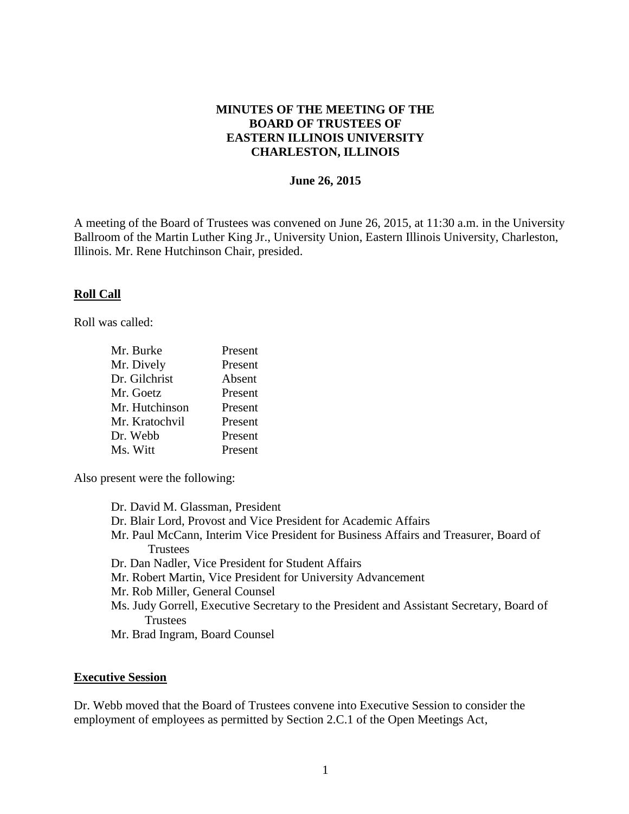## **MINUTES OF THE MEETING OF THE BOARD OF TRUSTEES OF EASTERN ILLINOIS UNIVERSITY CHARLESTON, ILLINOIS**

### **June 26, 2015**

A meeting of the Board of Trustees was convened on June 26, 2015, at 11:30 a.m. in the University Ballroom of the Martin Luther King Jr., University Union, Eastern Illinois University, Charleston, Illinois. Mr. Rene Hutchinson Chair, presided.

### **Roll Call**

Roll was called:

| Present |
|---------|
| Present |
| Absent  |
| Present |
| Present |
| Present |
| Present |
| Present |
|         |

Also present were the following:

Dr. David M. Glassman, President Dr. Blair Lord, Provost and Vice President for Academic Affairs Mr. Paul McCann, Interim Vice President for Business Affairs and Treasurer, Board of **Trustees** Dr. Dan Nadler, Vice President for Student Affairs Mr. Robert Martin, Vice President for University Advancement Mr. Rob Miller, General Counsel Ms. Judy Gorrell, Executive Secretary to the President and Assistant Secretary, Board of Trustees Mr. Brad Ingram, Board Counsel

#### **Executive Session**

Dr. Webb moved that the Board of Trustees convene into Executive Session to consider the employment of employees as permitted by Section 2.C.1 of the Open Meetings Act,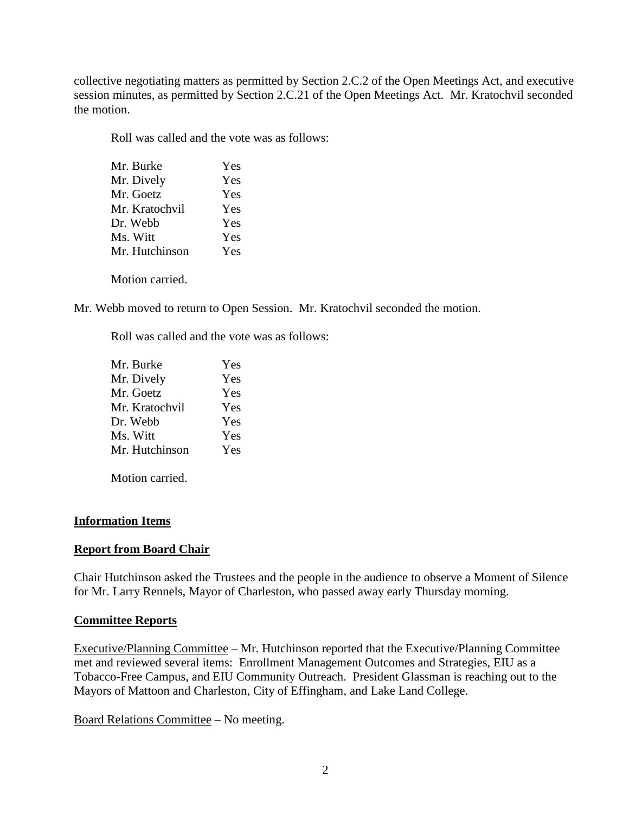collective negotiating matters as permitted by Section 2.C.2 of the Open Meetings Act, and executive session minutes, as permitted by Section 2.C.21 of the Open Meetings Act. Mr. Kratochvil seconded the motion.

Roll was called and the vote was as follows:

| Mr. Burke      | Yes |
|----------------|-----|
| Mr. Dively     | Yes |
| Mr. Goetz      | Yes |
| Mr. Kratochvil | Yes |
| Dr. Webb       | Yes |
| Ms. Witt       | Yes |
| Mr. Hutchinson | Yes |
|                |     |

Motion carried.

Mr. Webb moved to return to Open Session. Mr. Kratochvil seconded the motion.

Roll was called and the vote was as follows:

| Yes |
|-----|
| Yes |
| Yes |
| Yes |
| Yes |
| Yes |
| Yes |
|     |

Motion carried.

# **Information Items**

# **Report from Board Chair**

Chair Hutchinson asked the Trustees and the people in the audience to observe a Moment of Silence for Mr. Larry Rennels, Mayor of Charleston, who passed away early Thursday morning.

## **Committee Reports**

Executive/Planning Committee – Mr. Hutchinson reported that the Executive/Planning Committee met and reviewed several items: Enrollment Management Outcomes and Strategies, EIU as a Tobacco-Free Campus, and EIU Community Outreach. President Glassman is reaching out to the Mayors of Mattoon and Charleston, City of Effingham, and Lake Land College.

Board Relations Committee – No meeting.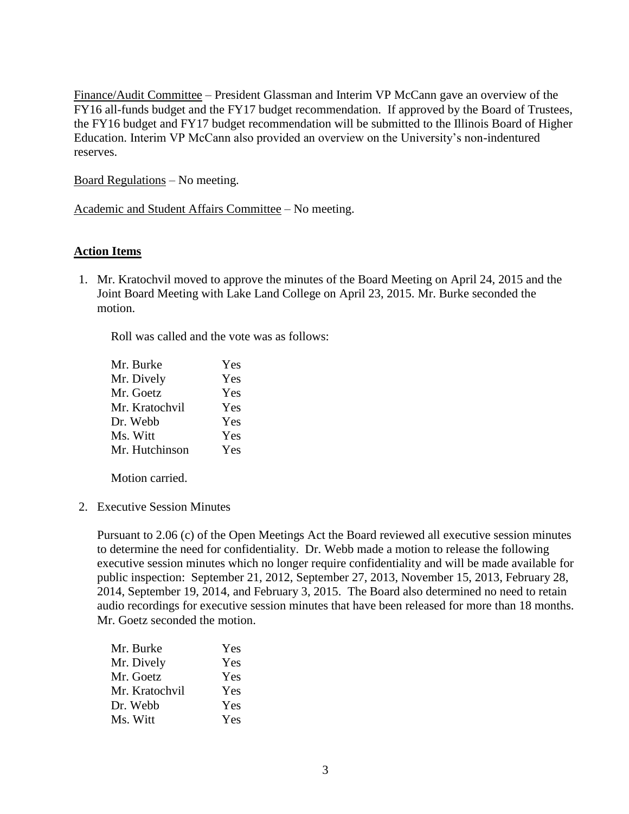Finance/Audit Committee – President Glassman and Interim VP McCann gave an overview of the FY16 all-funds budget and the FY17 budget recommendation. If approved by the Board of Trustees, the FY16 budget and FY17 budget recommendation will be submitted to the Illinois Board of Higher Education. Interim VP McCann also provided an overview on the University's non-indentured reserves.

Board Regulations – No meeting.

Academic and Student Affairs Committee – No meeting.

## **Action Items**

1. Mr. Kratochvil moved to approve the minutes of the Board Meeting on April 24, 2015 and the Joint Board Meeting with Lake Land College on April 23, 2015. Mr. Burke seconded the motion.

Roll was called and the vote was as follows:

| Mr. Burke      | Yes |
|----------------|-----|
| Mr. Dively     | Yes |
| Mr. Goetz      | Yes |
| Mr. Kratochvil | Yes |
| Dr. Webb       | Yes |
| Ms. Witt       | Yes |
| Mr. Hutchinson | Yes |

Motion carried.

2. Executive Session Minutes

Pursuant to 2.06 (c) of the Open Meetings Act the Board reviewed all executive session minutes to determine the need for confidentiality. Dr. Webb made a motion to release the following executive session minutes which no longer require confidentiality and will be made available for public inspection: September 21, 2012, September 27, 2013, November 15, 2013, February 28, 2014, September 19, 2014, and February 3, 2015. The Board also determined no need to retain audio recordings for executive session minutes that have been released for more than 18 months. Mr. Goetz seconded the motion.

| Mr. Burke      | Yes |
|----------------|-----|
| Mr. Dively     | Yes |
| Mr. Goetz      | Yes |
| Mr. Kratochvil | Yes |
| Dr. Webb       | Yes |
| Ms. Witt       | Yes |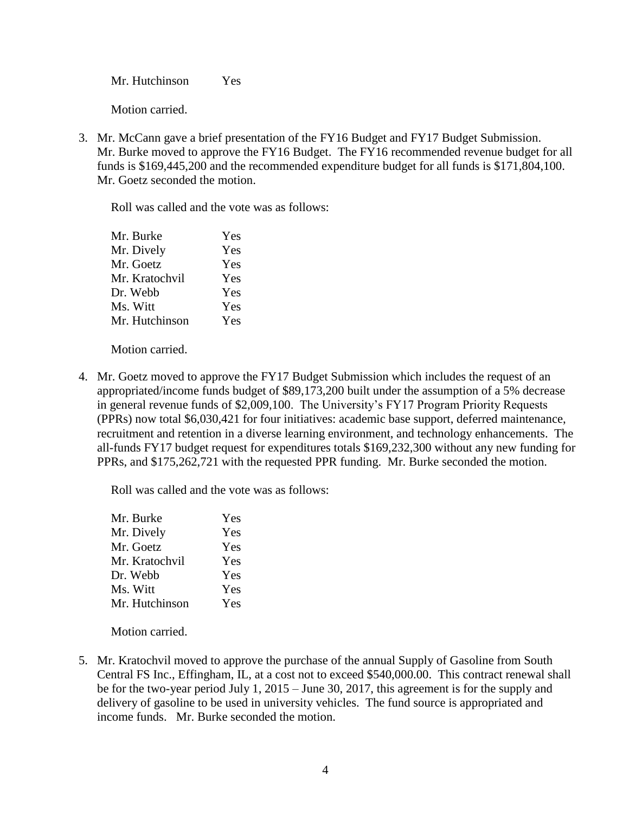Mr. Hutchinson Yes

Motion carried.

3. Mr. McCann gave a brief presentation of the FY16 Budget and FY17 Budget Submission. Mr. Burke moved to approve the FY16 Budget. The FY16 recommended revenue budget for all funds is \$169,445,200 and the recommended expenditure budget for all funds is \$171,804,100. Mr. Goetz seconded the motion.

Roll was called and the vote was as follows:

| Mr. Burke      | Yes |
|----------------|-----|
| Mr. Dively     | Yes |
| Mr. Goetz      | Yes |
| Mr. Kratochvil | Yes |
| Dr. Webb       | Yes |
| Ms. Witt       | Yes |
| Mr. Hutchinson | Yes |
|                |     |

Motion carried.

4. Mr. Goetz moved to approve the FY17 Budget Submission which includes the request of an appropriated/income funds budget of \$89,173,200 built under the assumption of a 5% decrease in general revenue funds of \$2,009,100. The University's FY17 Program Priority Requests (PPRs) now total \$6,030,421 for four initiatives: academic base support, deferred maintenance, recruitment and retention in a diverse learning environment, and technology enhancements. The all-funds FY17 budget request for expenditures totals \$169,232,300 without any new funding for PPRs, and \$175,262,721 with the requested PPR funding. Mr. Burke seconded the motion.

Roll was called and the vote was as follows:

| Mr. Burke      | Yes |
|----------------|-----|
| Mr. Dively     | Yes |
| Mr. Goetz      | Yes |
| Mr. Kratochvil | Yes |
| Dr. Webb       | Yes |
| Ms. Witt       | Yes |
| Mr. Hutchinson | Yes |
|                |     |

Motion carried.

5. Mr. Kratochvil moved to approve the purchase of the annual Supply of Gasoline from South Central FS Inc., Effingham, IL, at a cost not to exceed \$540,000.00. This contract renewal shall be for the two-year period July 1, 2015 – June 30, 2017, this agreement is for the supply and delivery of gasoline to be used in university vehicles. The fund source is appropriated and income funds. Mr. Burke seconded the motion.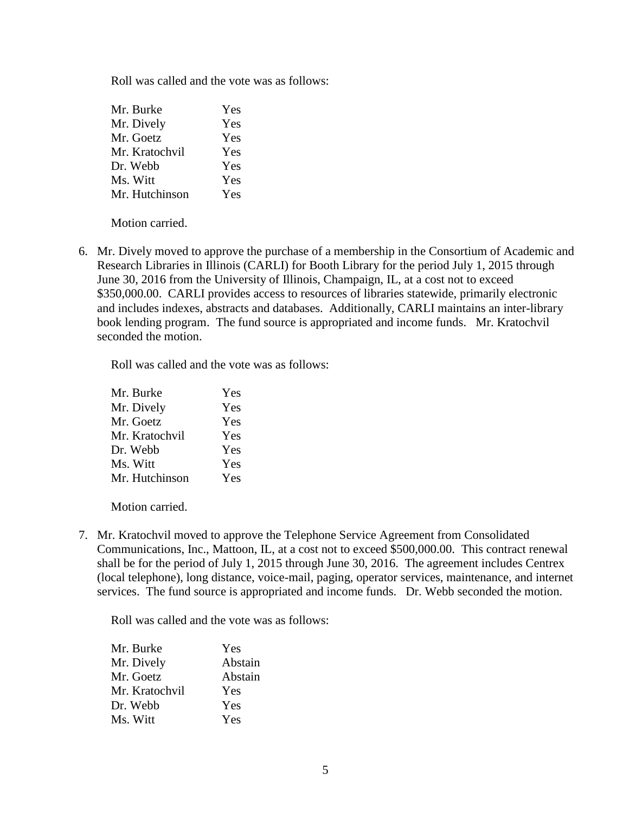Roll was called and the vote was as follows:

| Mr. Burke      | Yes |
|----------------|-----|
| Mr. Dively     | Yes |
| Mr. Goetz      | Yes |
| Mr. Kratochvil | Yes |
| Dr. Webb       | Yes |
| Ms. Witt       | Yes |
| Mr. Hutchinson | Yes |

Motion carried.

6. Mr. Dively moved to approve the purchase of a membership in the Consortium of Academic and Research Libraries in Illinois (CARLI) for Booth Library for the period July 1, 2015 through June 30, 2016 from the University of Illinois, Champaign, IL, at a cost not to exceed \$350,000.00. CARLI provides access to resources of libraries statewide, primarily electronic and includes indexes, abstracts and databases. Additionally, CARLI maintains an inter-library book lending program. The fund source is appropriated and income funds. Mr. Kratochvil seconded the motion.

Roll was called and the vote was as follows:

| Mr. Burke      | Yes |
|----------------|-----|
| Mr. Dively     | Yes |
| Mr. Goetz      | Yes |
| Mr. Kratochvil | Yes |
| Dr. Webb       | Yes |
| Ms. Witt       | Yes |
| Mr. Hutchinson | Yes |

Motion carried.

7. Mr. Kratochvil moved to approve the Telephone Service Agreement from Consolidated Communications, Inc., Mattoon, IL, at a cost not to exceed \$500,000.00. This contract renewal shall be for the period of July 1, 2015 through June 30, 2016. The agreement includes Centrex (local telephone), long distance, voice-mail, paging, operator services, maintenance, and internet services. The fund source is appropriated and income funds. Dr. Webb seconded the motion.

Roll was called and the vote was as follows:

| Yes     |
|---------|
| Abstain |
| Abstain |
| Yes     |
| Yes     |
| Yes     |
|         |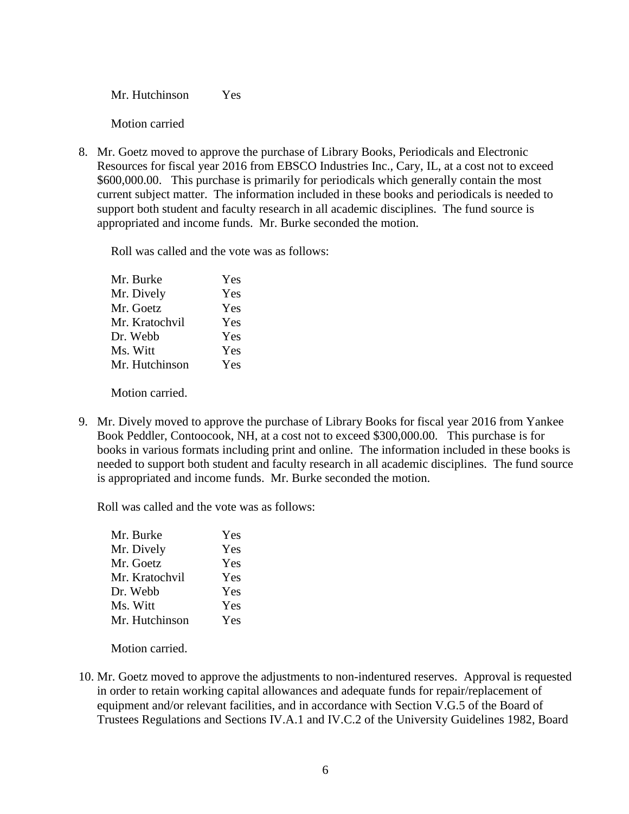Mr. Hutchinson Yes

Motion carried

8. Mr. Goetz moved to approve the purchase of Library Books, Periodicals and Electronic Resources for fiscal year 2016 from EBSCO Industries Inc., Cary, IL, at a cost not to exceed \$600,000.00. This purchase is primarily for periodicals which generally contain the most current subject matter. The information included in these books and periodicals is needed to support both student and faculty research in all academic disciplines. The fund source is appropriated and income funds. Mr. Burke seconded the motion.

Roll was called and the vote was as follows:

| Mr. Burke      | Yes |
|----------------|-----|
| Mr. Dively     | Yes |
| Mr. Goetz      | Yes |
| Mr. Kratochvil | Yes |
| Dr. Webb       | Yes |
| Ms. Witt       | Yes |
| Mr. Hutchinson | Yes |
|                |     |

Motion carried.

9. Mr. Dively moved to approve the purchase of Library Books for fiscal year 2016 from Yankee Book Peddler, Contoocook, NH, at a cost not to exceed \$300,000.00. This purchase is for books in various formats including print and online. The information included in these books is needed to support both student and faculty research in all academic disciplines. The fund source is appropriated and income funds. Mr. Burke seconded the motion.

Roll was called and the vote was as follows:

| Yes |
|-----|
| Yes |
| Yes |
| Yes |
| Yes |
| Yes |
| Yes |
|     |

Motion carried.

10. Mr. Goetz moved to approve the adjustments to non-indentured reserves. Approval is requested in order to retain working capital allowances and adequate funds for repair/replacement of equipment and/or relevant facilities, and in accordance with Section V.G.5 of the Board of Trustees Regulations and Sections IV.A.1 and IV.C.2 of the University Guidelines 1982, Board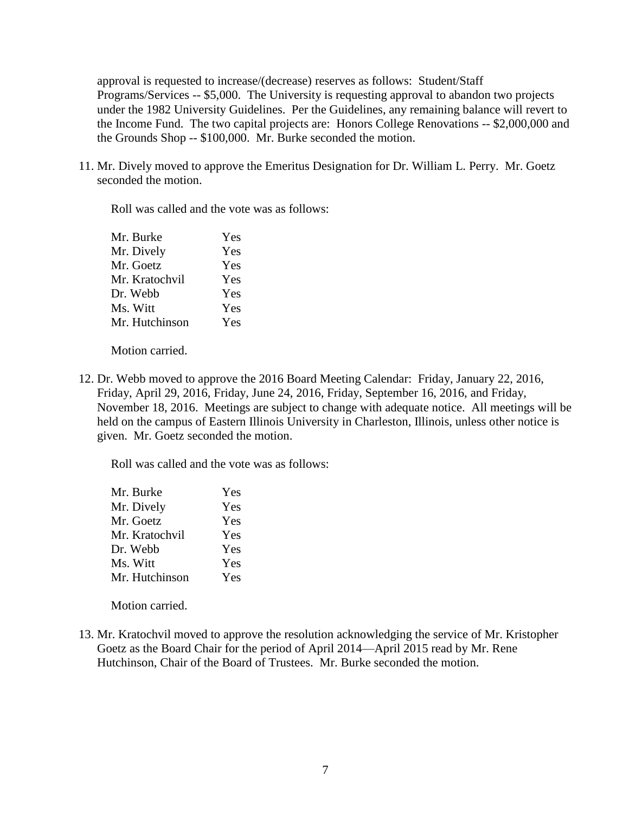approval is requested to increase/(decrease) reserves as follows: Student/Staff Programs/Services -- \$5,000. The University is requesting approval to abandon two projects under the 1982 University Guidelines. Per the Guidelines, any remaining balance will revert to the Income Fund. The two capital projects are: Honors College Renovations -- \$2,000,000 and the Grounds Shop -- \$100,000. Mr. Burke seconded the motion.

11. Mr. Dively moved to approve the Emeritus Designation for Dr. William L. Perry. Mr. Goetz seconded the motion.

Roll was called and the vote was as follows:

| Mr. Burke      | Yes |
|----------------|-----|
| Mr. Dively     | Yes |
| Mr. Goetz      | Yes |
| Mr. Kratochvil | Yes |
| Dr. Webb       | Yes |
| Ms. Witt       | Yes |
| Mr. Hutchinson | Yes |

Motion carried.

12. Dr. Webb moved to approve the 2016 Board Meeting Calendar: Friday, January 22, 2016, Friday, April 29, 2016, Friday, June 24, 2016, Friday, September 16, 2016, and Friday, November 18, 2016. Meetings are subject to change with adequate notice. All meetings will be held on the campus of Eastern Illinois University in Charleston, Illinois, unless other notice is given. Mr. Goetz seconded the motion.

Roll was called and the vote was as follows:

| Mr. Burke      | Yes |
|----------------|-----|
| Mr. Dively     | Yes |
| Mr. Goetz      | Yes |
| Mr. Kratochvil | Yes |
| Dr. Webb       | Yes |
| Ms. Witt       | Yes |
| Mr. Hutchinson | Yes |

Motion carried.

13. Mr. Kratochvil moved to approve the resolution acknowledging the service of Mr. Kristopher Goetz as the Board Chair for the period of April 2014—April 2015 read by Mr. Rene Hutchinson, Chair of the Board of Trustees. Mr. Burke seconded the motion.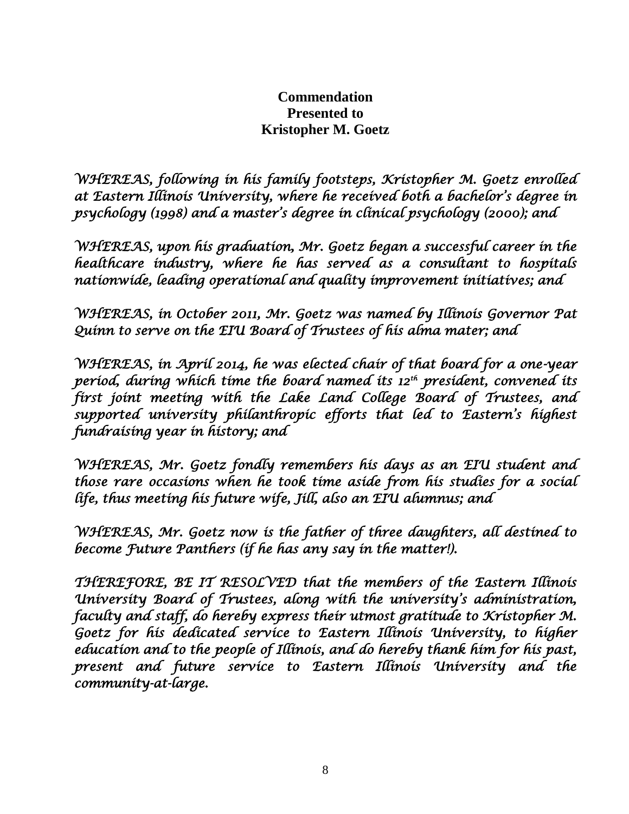# **Commendation Presented to Kristopher M. Goetz**

*WHEREAS, following in his family footsteps, Kristopher M. Goetz enrolled at Eastern Illinois University, where he received both a bachelor's degree in psychology (1998) and a master's degree in clinical psychology (2000); and* 

*WHEREAS, upon his graduation, Mr. Goetz began a successful career in the healthcare industry, where he has served as a consultant to hospitals nationwide, leading operational and quality improvement initiatives; and* 

*WHEREAS, in October 2011, Mr. Goetz was named by Illinois Governor Pat Quinn to serve on the EIU Board of Trustees of his alma mater; and* 

*WHEREAS, in April 2014, he was elected chair of that board for a one-year period, during which time the board named its 12th president, convened its first joint meeting with the Lake Land College Board of Trustees, and supported university philanthropic efforts that led to Eastern's highest fundraising year in history; and* 

*WHEREAS, Mr. Goetz fondly remembers his days as an EIU student and those rare occasions when he took time aside from his studies for a social life, thus meeting his future wife, Jill, also an EIU alumnus; and* 

*WHEREAS, Mr. Goetz now is the father of three daughters, all destined to become Future Panthers (if he has any say in the matter!).* 

*THEREFORE, BE IT RESOLVED that the members of the Eastern Illinois University Board of Trustees, along with the university's administration, faculty and staff, do hereby express their utmost gratitude to Kristopher M. Goetz for his dedicated service to Eastern Illinois University, to higher education and to the people of Illinois, and do hereby thank him for his past, present and future service to Eastern Illinois University and the community-at-large.*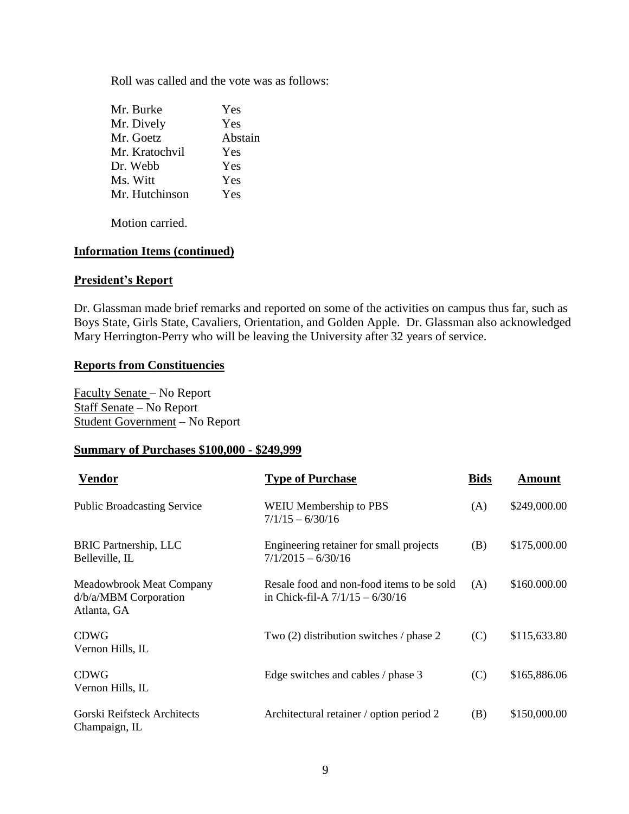Roll was called and the vote was as follows:

| Mr. Burke      | Yes     |
|----------------|---------|
| Mr. Dively     | Yes     |
| Mr. Goetz      | Abstain |
| Mr. Kratochvil | Yes     |
| Dr. Webb       | Yes     |
| Ms. Witt       | Yes     |
| Mr. Hutchinson | Yes     |
|                |         |

Motion carried.

## **Information Items (continued)**

## **President's Report**

Dr. Glassman made brief remarks and reported on some of the activities on campus thus far, such as Boys State, Girls State, Cavaliers, Orientation, and Golden Apple. Dr. Glassman also acknowledged Mary Herrington-Perry who will be leaving the University after 32 years of service.

### **Reports from Constituencies**

Faculty Senate – No Report Staff Senate – No Report Student Government – No Report

# **Summary of Purchases \$100,000 - \$249,999**

| Vendor                                                                  | <b>Type of Purchase</b>                                                        | <b>Bids</b> | <b>Amount</b> |
|-------------------------------------------------------------------------|--------------------------------------------------------------------------------|-------------|---------------|
| <b>Public Broadcasting Service</b>                                      | <b>WEIU Membership to PBS</b><br>$7/1/15 - 6/30/16$                            | (A)         | \$249,000.00  |
| <b>BRIC Partnership, LLC</b><br>Belleville, IL                          | Engineering retainer for small projects<br>$7/1/2015 - 6/30/16$                | (B)         | \$175,000.00  |
| <b>Meadowbrook Meat Company</b><br>d/b/a/MBM Corporation<br>Atlanta, GA | Resale food and non-food items to be sold<br>in Chick-fil-A $7/1/15 - 6/30/16$ | (A)         | \$160.000.00  |
| <b>CDWG</b><br>Vernon Hills, IL                                         | Two (2) distribution switches / phase 2                                        | (C)         | \$115,633.80  |
| <b>CDWG</b><br>Vernon Hills, IL                                         | Edge switches and cables / phase 3                                             | (C)         | \$165,886.06  |
| Gorski Reifsteck Architects<br>Champaign, IL                            | Architectural retainer / option period 2                                       | (B)         | \$150,000.00  |